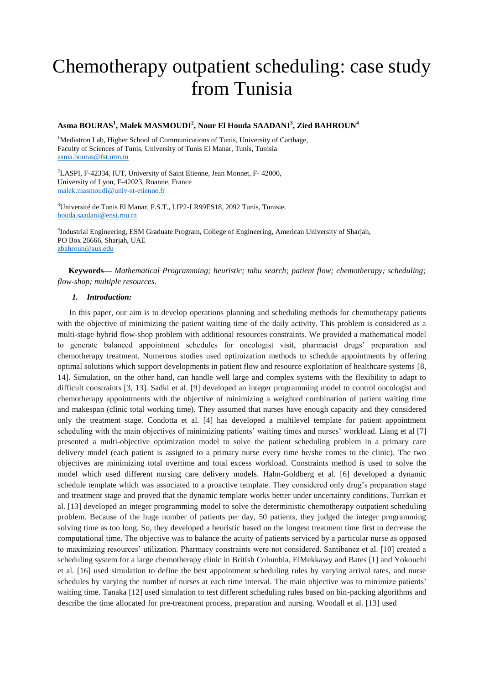# Chemotherapy outpatient scheduling: case study from Tunisia

## **Asma BOURAS<sup>1</sup> , Malek MASMOUDI<sup>2</sup> , Nour El Houda SAADANI<sup>3</sup> , Zied BAHROUN<sup>4</sup>**

<sup>1</sup>Mediatron Lab, Higher School of Communications of Tunis, University of Carthage, Faculty of Sciences of Tunis, University of Tunis El Manar, Tunis, Tunisia [asma.bouras@fst.utm.tn](mailto:asma.bouras@fst.utm.tn)

<sup>2</sup>LASPI, F-42334, IUT, University of Saint Etienne, Jean Monnet, F-42000, University of Lyon, F-42023, Roanne, France [malek.masmoudi@univ-st-etienne.fr](mailto:malek.masmoudi@univ-st-etienne.fr)

<sup>3</sup>Université de Tunis El Manar, F.S.T., LIP2-LR99ES18, 2092 Tunis, Tunisie. [houda.saadani@ensi.rnu.tn](mailto:houda.saadani@ensi.rnu.tn)

4 Industrial Engineering, ESM Graduate Program, College of Engineering, American University of Sharjah, PO Box 26666, Sharjah, UAE [zbahroun@aus.edu](mailto:zbahroun@aus.edu)

**Keywords—** *Mathematical Programming; heuristic; tabu search; patient flow; chemotherapy; scheduling; flow-shop; multiple resources*.

## *1. Introduction:*

In this paper, our aim is to develop operations planning and scheduling methods for chemotherapy patients with the objective of minimizing the patient waiting time of the daily activity. This problem is considered as a multi-stage hybrid flow-shop problem with additional resources constraints. We provided a mathematical model to generate balanced appointment schedules for oncologist visit, pharmacist drugs' preparation and chemotherapy treatment. Numerous studies used optimization methods to schedule appointments by offering optimal solutions which support developments in patient flow and resource exploitation of healthcare systems [8, 14]. Simulation, on the other hand, can handle well large and complex systems with the flexibility to adapt to difficult constraints [3, 13]. Sadki et al. [9] developed an integer programming model to control oncologist and chemotherapy appointments with the objective of minimizing a weighted combination of patient waiting time and makespan (clinic total working time). They assumed that nurses have enough capacity and they considered only the treatment stage. Condotta et al. [4] has developed a multilevel template for patient appointment scheduling with the main objectives of minimizing patients' waiting times and nurses' workload. Liang et al [7] presented a multi-objective optimization model to solve the patient scheduling problem in a primary care delivery model (each patient is assigned to a primary nurse every time he/she comes to the clinic). The two objectives are minimizing total overtime and total excess workload. Constraints method is used to solve the model which used different nursing care delivery models. Hahn-Goldberg et al. [6] developed a dynamic schedule template which was associated to a proactive template. They considered only drug's preparation stage and treatment stage and proved that the dynamic template works better under uncertainty conditions. Turckan et al. [13] developed an integer programming model to solve the deterministic chemotherapy outpatient scheduling problem. Because of the huge number of patients per day, 50 patients, they judged the integer programming solving time as too long. So, they developed a heuristic based on the longest treatment time first to decrease the computational time. The objective was to balance the acuity of patients serviced by a particular nurse as opposed to maximizing resources' utilization. Pharmacy constraints were not considered. Santibanez et al. [10] created a scheduling system for a large chemotherapy clinic in British Columbia, ElMekkawy and Bates [1] and Yokouchi et al. [16] used simulation to define the best appointment scheduling rules by varying arrival rates, and nurse schedules by varying the number of nurses at each time interval. The main objective was to minimize patients' waiting time. Tanaka [12] used simulation to test different scheduling rules based on bin-packing algorithms and describe the time allocated for pre-treatment process, preparation and nursing. Woodall et al. [13] used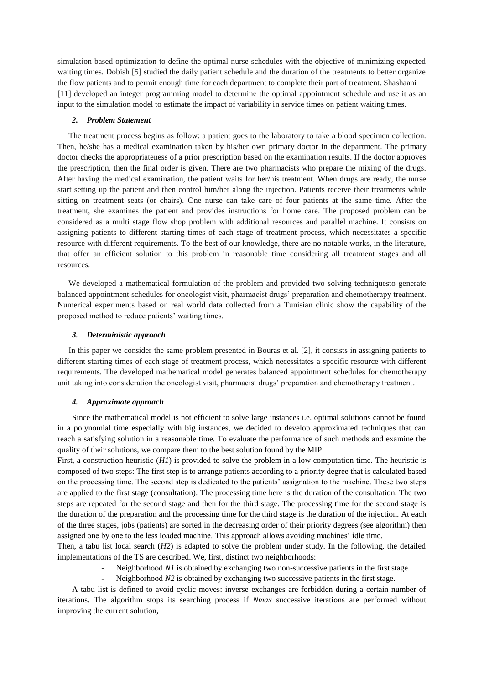simulation based optimization to define the optimal nurse schedules with the objective of minimizing expected waiting times. Dobish [5] studied the daily patient schedule and the duration of the treatments to better organize the flow patients and to permit enough time for each department to complete their part of treatment. Shashaani [11] developed an integer programming model to determine the optimal appointment schedule and use it as an input to the simulation model to estimate the impact of variability in service times on patient waiting times.

#### *2. Problem Statement*

The treatment process begins as follow: a patient goes to the laboratory to take a blood specimen collection. Then, he/she has a medical examination taken by his/her own primary doctor in the department. The primary doctor checks the appropriateness of a prior prescription based on the examination results. If the doctor approves the prescription, then the final order is given. There are two pharmacists who prepare the mixing of the drugs. After having the medical examination, the patient waits for her/his treatment. When drugs are ready, the nurse start setting up the patient and then control him/her along the injection. Patients receive their treatments while sitting on treatment seats (or chairs). One nurse can take care of four patients at the same time. After the treatment, she examines the patient and provides instructions for home care. The proposed problem can be considered as a multi stage flow shop problem with additional resources and parallel machine. It consists on assigning patients to different starting times of each stage of treatment process, which necessitates a specific resource with different requirements. To the best of our knowledge, there are no notable works, in the literature, that offer an efficient solution to this problem in reasonable time considering all treatment stages and all resources.

We developed a mathematical formulation of the problem and provided two solving techniquesto generate balanced appointment schedules for oncologist visit, pharmacist drugs' preparation and chemotherapy treatment. Numerical experiments based on real world data collected from a Tunisian clinic show the capability of the proposed method to reduce patients' waiting times.

#### *3. Deterministic approach*

In this paper we consider the same problem presented in Bouras et al. [2], it consists in assigning patients to different starting times of each stage of treatment process, which necessitates a specific resource with different requirements. The developed mathematical model generates balanced appointment schedules for chemotherapy unit taking into consideration the oncologist visit, pharmacist drugs' preparation and chemotherapy treatment.

#### *4. Approximate approach*

Since the mathematical model is not efficient to solve large instances i.e. optimal solutions cannot be found in a polynomial time especially with big instances, we decided to develop approximated techniques that can reach a satisfying solution in a reasonable time. To evaluate the performance of such methods and examine the quality of their solutions, we compare them to the best solution found by the MIP.

First, a construction heuristic (*H1*) is provided to solve the problem in a low computation time. The heuristic is composed of two steps: The first step is to arrange patients according to a priority degree that is calculated based on the processing time. The second step is dedicated to the patients' assignation to the machine. These two steps are applied to the first stage (consultation). The processing time here is the duration of the consultation. The two steps are repeated for the second stage and then for the third stage. The processing time for the second stage is the duration of the preparation and the processing time for the third stage is the duration of the injection. At each of the three stages, jobs (patients) are sorted in the decreasing order of their priority degrees (see algorithm) then assigned one by one to the less loaded machine. This approach allows avoiding machines' idle time.

Then, a tabu list local search (*H2*) is adapted to solve the problem under study. In the following, the detailed implementations of the TS are described. We, first, distinct two neighborhoods:

- Neighborhood *N1* is obtained by exchanging two non-successive patients in the first stage.
- Neighborhood *N2* is obtained by exchanging two successive patients in the first stage.

A tabu list is defined to avoid cyclic moves: inverse exchanges are forbidden during a certain number of iterations. The algorithm stops its searching process if *Nmax* successive iterations are performed without improving the current solution,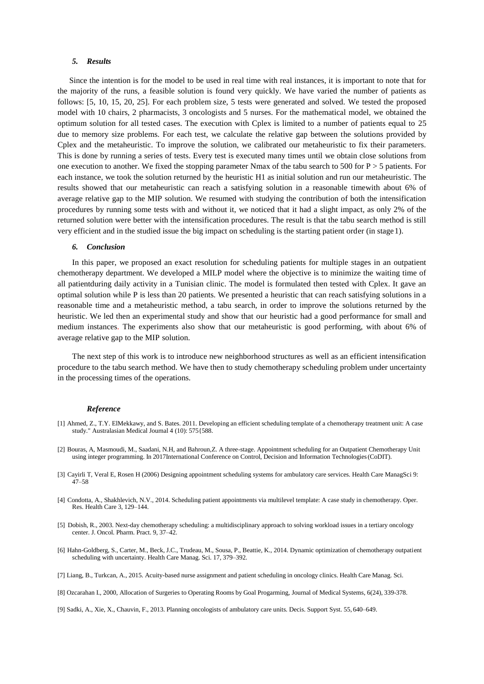### *5. Results*

Since the intention is for the model to be used in real time with real instances, it is important to note that for the majority of the runs, a feasible solution is found very quickly. We have varied the number of patients as follows: [5, 10, 15, 20, 25]. For each problem size, 5 tests were generated and solved. We tested the proposed model with 10 chairs, 2 pharmacists, 3 oncologists and 5 nurses. For the mathematical model, we obtained the optimum solution for all tested cases. The execution with Cplex is limited to a number of patients equal to 25 due to memory size problems. For each test, we calculate the relative gap between the solutions provided by Cplex and the metaheuristic. To improve the solution, we calibrated our metaheuristic to fix their parameters. This is done by running a series of tests. Every test is executed many times until we obtain close solutions from one execution to another. We fixed the stopping parameter Nmax of the tabu search to 500 for  $P > 5$  patients. For each instance, we took the solution returned by the heuristic H1 as initial solution and run our metaheuristic. The results showed that our metaheuristic can reach a satisfying solution in a reasonable timewith about 6% of average relative gap to the MIP solution. We resumed with studying the contribution of both the intensification procedures by running some tests with and without it, we noticed that it had a slight impact, as only 2% of the returned solution were better with the intensification procedures. The result is that the tabu search method is still very efficient and in the studied issue the big impact on scheduling is the starting patient order (in stage1).

#### *6. Conclusion*

In this paper, we proposed an exact resolution for scheduling patients for multiple stages in an outpatient chemotherapy department. We developed a MILP model where the objective is to minimize the waiting time of all patientduring daily activity in a Tunisian clinic. The model is formulated then tested with Cplex. It gave an optimal solution while P is less than 20 patients. We presented a heuristic that can reach satisfying solutions in a reasonable time and a metaheuristic method, a tabu search, in order to improve the solutions returned by the heuristic. We led then an experimental study and show that our heuristic had a good performance for small and medium instances. The experiments also show that our metaheuristic is good performing, with about 6% of average relative gap to the MIP solution.

The next step of this work is to introduce new neighborhood structures as well as an efficient intensification procedure to the tabu search method. We have then to study chemotherapy scheduling problem under uncertainty in the processing times of the operations.

#### *Reference*

- [1] Ahmed, Z., T.Y. ElMekkawy, and S. Bates. 2011. Developing an efficient scheduling template of a chemotherapy treatment unit: A case study." Australasian Medical Journal 4 (10): 575{588.
- [2] Bouras, A, Masmoudi, M., Saadani, N.H, and Bahroun,Z. A three-stage. Appointment scheduling for an Outpatient Chemotherapy Unit using integer programming. In 2017International Conference on Control, Decision and Information Technologies(CoDIT).
- [3] Cayirli T, Veral E, Rosen H (2006) Designing appointment scheduling systems for ambulatory care services. Health Care ManagSci 9: 47–58
- [4] Condotta, A., Shakhlevich, N.V., 2014. Scheduling patient appointments via multilevel template: A case study in chemotherapy. Oper. Res. Health Care 3, 129–144.
- [5] Dobish, R., 2003. Next-day chemotherapy scheduling: a multidisciplinary approach to solving workload issues in a tertiary oncology center. J. Oncol. Pharm. Pract. 9, 37–42.
- [6] Hahn-Goldberg, S., Carter, M., Beck, J.C., Trudeau, M., Sousa, P., Beattie, K., 2014. Dynamic optimization of chemotherapy outpatient scheduling with uncertainty. Health Care Manag. Sci. 17, 379–392.
- [7] Liang, B., Turkcan, A., 2015. Acuity-based nurse assignment and patient scheduling in oncology clinics. Health Care Manag. Sci.
- [8] Ozcarahan I., 2000, Allocation of Surgeries to Operating Rooms by Goal Progarming, Journal of Medical Systems, 6(24), 339-378.
- [9] Sadki, A., Xie, X., Chauvin, F., 2013. Planning oncologists of ambulatory care units. Decis. Support Syst. 55, 640–649.